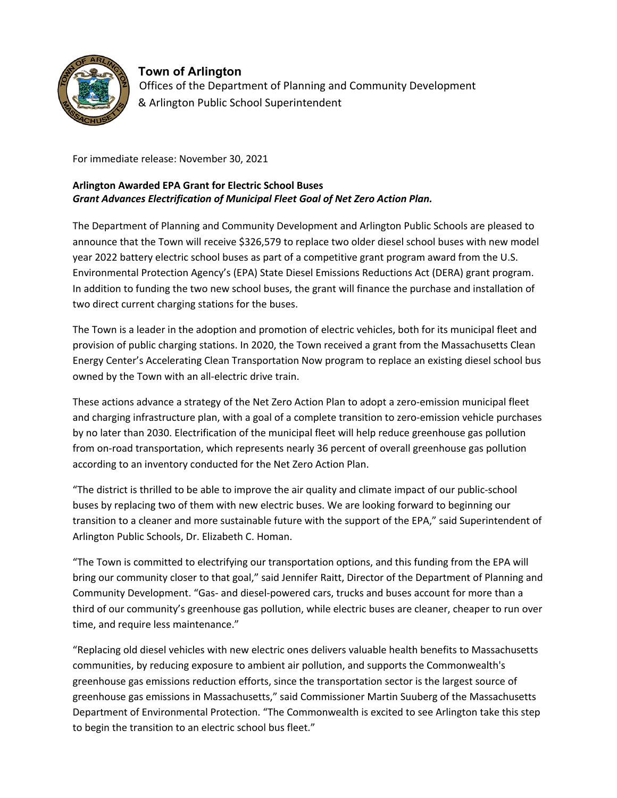

**Town of Arlington**  Offices of the Department of Planning and Community Development & Arlington Public School Superintendent

For immediate release: November 30, 2021

## *Grant Advances Electrification of Municipal Fleet Goal of Net Zero Action Plan.*  **Arlington Awarded EPA Grant for Electric School Buses**

 The Department of Planning and Community Development and Arlington Public Schools are pleased to announce that the Town will receive \$326,579 to replace two older diesel school buses with new model year 2022 battery electric school buses as part of a competitive grant program award from the U.S. Environmental Protection Agency's (EPA) State Diesel Emissions Reductions Act (DERA) grant program. In addition to funding the two new school buses, the grant will finance the purchase and installation of two direct current charging stations for the buses.

 provision of public charging stations. In 2020, the Town received a grant from the Massachusetts Clean Energy Center's Accelerating Clean Transportation Now program to replace an existing diesel school bus owned by the Town with an all-electric drive train. The Town is a leader in the adoption and promotion of electric vehicles, both for its municipal fleet and

 These actions advance a strategy of the Net Zero Action Plan to adopt a zero-emission municipal fleet and charging infrastructure plan, with a goal of a complete transition to zero-emission vehicle purchases by no later than 2030. Electrification of the municipal fleet will help reduce greenhouse gas pollution from on-road transportation, which represents nearly 36 percent of overall greenhouse gas pollution according to an inventory conducted for the Net Zero Action Plan.

 "The district is thrilled to be able to improve the air quality and climate impact of our public-school buses by replacing two of them with new electric buses. We are looking forward to beginning our transition to a cleaner and more sustainable future with the support of the EPA," said Superintendent of Arlington Public Schools, Dr. Elizabeth C. Homan.

 "The Town is committed to electrifying our transportation options, and this funding from the EPA will bring our community closer to that goal," said Jennifer Raitt, Director of the Department of Planning and Community Development. "Gas- and diesel-powered cars, trucks and buses account for more than a third of our community's greenhouse gas pollution, while electric buses are cleaner, cheaper to run over time, and require less maintenance."

 greenhouse gas emissions reduction efforts, since the transportation sector is the largest source of greenhouse gas emissions in Massachusetts," said Commissioner Martin Suuberg of the Massachusetts Department of Environmental Protection. "The Commonwealth is excited to see Arlington take this step "Replacing old diesel vehicles with new electric ones delivers valuable health benefits to Massachusetts communities, by reducing exposure to ambient air pollution, and supports the Commonwealth's to begin the transition to an electric school bus fleet."